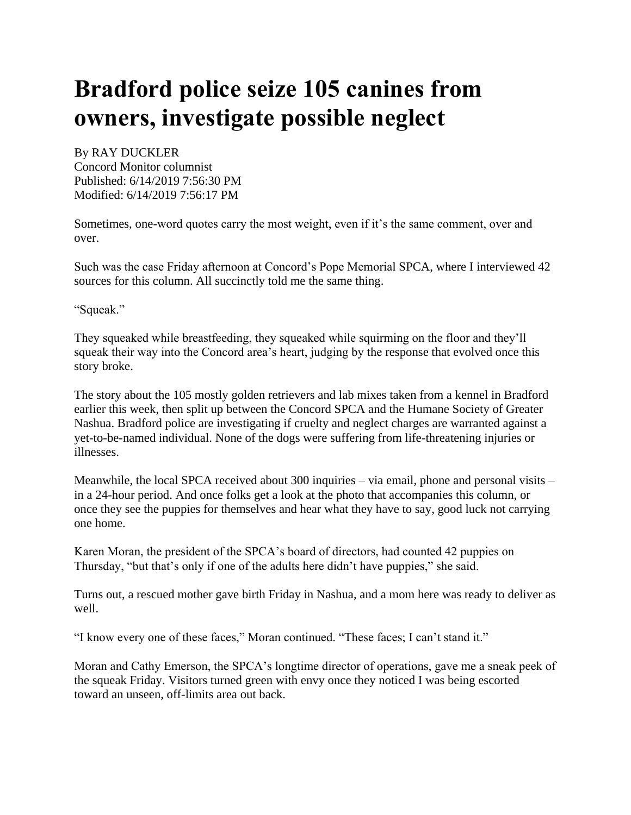## **Bradford police seize 105 canines from owners, investigate possible neglect**

## [By RAY DUCKLER](https://www.concordmonitor.com/byline?byline=By%20RAY%20DUCKLER) Concord Monitor columnist Published: 6/14/2019 7:56:30 PM Modified: 6/14/2019 7:56:17 PM

Sometimes, one-word quotes carry the most weight, even if it's the same comment, over and over.

Such was the case Friday afternoon at Concord's Pope Memorial SPCA, where I interviewed 42 sources for this column. All succinctly told me the same thing.

"Squeak."

They squeaked while breastfeeding, they squeaked while squirming on the floor and they'll squeak their way into the Concord area's heart, judging by the response that evolved once this story broke.

The story about the 105 mostly golden retrievers and lab mixes taken from a kennel in Bradford earlier this week, then split up between the Concord SPCA and the Humane Society of Greater Nashua. Bradford police are investigating if cruelty and neglect charges are warranted against a yet-to-be-named individual. None of the dogs were suffering from life-threatening injuries or illnesses.

Meanwhile, the local SPCA received about 300 inquiries – via email, phone and personal visits – in a 24-hour period. And once folks get a look at the photo that accompanies this column, or once they see the puppies for themselves and hear what they have to say, good luck not carrying one home.

Karen Moran, the president of the SPCA's board of directors, had counted 42 puppies on Thursday, "but that's only if one of the adults here didn't have puppies," she said.

Turns out, a rescued mother gave birth Friday in Nashua, and a mom here was ready to deliver as well.

"I know every one of these faces," Moran continued. "These faces; I can't stand it."

Moran and Cathy Emerson, the SPCA's longtime director of operations, gave me a sneak peek of the squeak Friday. Visitors turned green with envy once they noticed I was being escorted toward an unseen, off-limits area out back.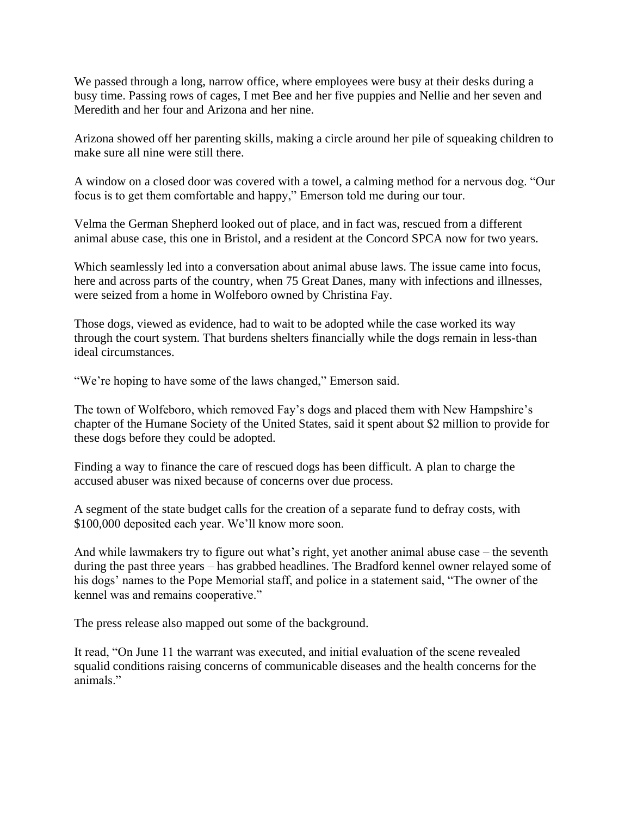We passed through a long, narrow office, where employees were busy at their desks during a busy time. Passing rows of cages, I met Bee and her five puppies and Nellie and her seven and Meredith and her four and Arizona and her nine.

Arizona showed off her parenting skills, making a circle around her pile of squeaking children to make sure all nine were still there.

A window on a closed door was covered with a towel, a calming method for a nervous dog. "Our focus is to get them comfortable and happy," Emerson told me during our tour.

Velma the German Shepherd looked out of place, and in fact was, rescued from a different animal abuse case, this one in Bristol, and a resident at the Concord SPCA now for two years.

Which seamlessly led into a conversation about animal abuse laws. The issue came into focus, here and across parts of the country, when 75 Great Danes, many with infections and illnesses, were seized from a home in Wolfeboro owned by Christina Fay.

Those dogs, viewed as evidence, had to wait to be adopted while the case worked its way through the court system. That burdens shelters financially while the dogs remain in less-than ideal circumstances.

"We're hoping to have some of the laws changed," Emerson said.

The town of Wolfeboro, which removed Fay's dogs and placed them with New Hampshire's chapter of the Humane Society of the United States, said it spent about \$2 million to provide for these dogs before they could be adopted.

Finding a way to finance the care of rescued dogs has been difficult. A plan to charge the accused abuser was nixed because of concerns over due process.

A segment of the state budget calls for the creation of a separate fund to defray costs, with \$100,000 deposited each year. We'll know more soon.

And while lawmakers try to figure out what's right, yet another animal abuse case – the seventh during the past three years – has grabbed headlines. The Bradford kennel owner relayed some of his dogs' names to the Pope Memorial staff, and police in a statement said, "The owner of the kennel was and remains cooperative."

The press release also mapped out some of the background.

It read, "On June 11 the warrant was executed, and initial evaluation of the scene revealed squalid conditions raising concerns of communicable diseases and the health concerns for the animals."